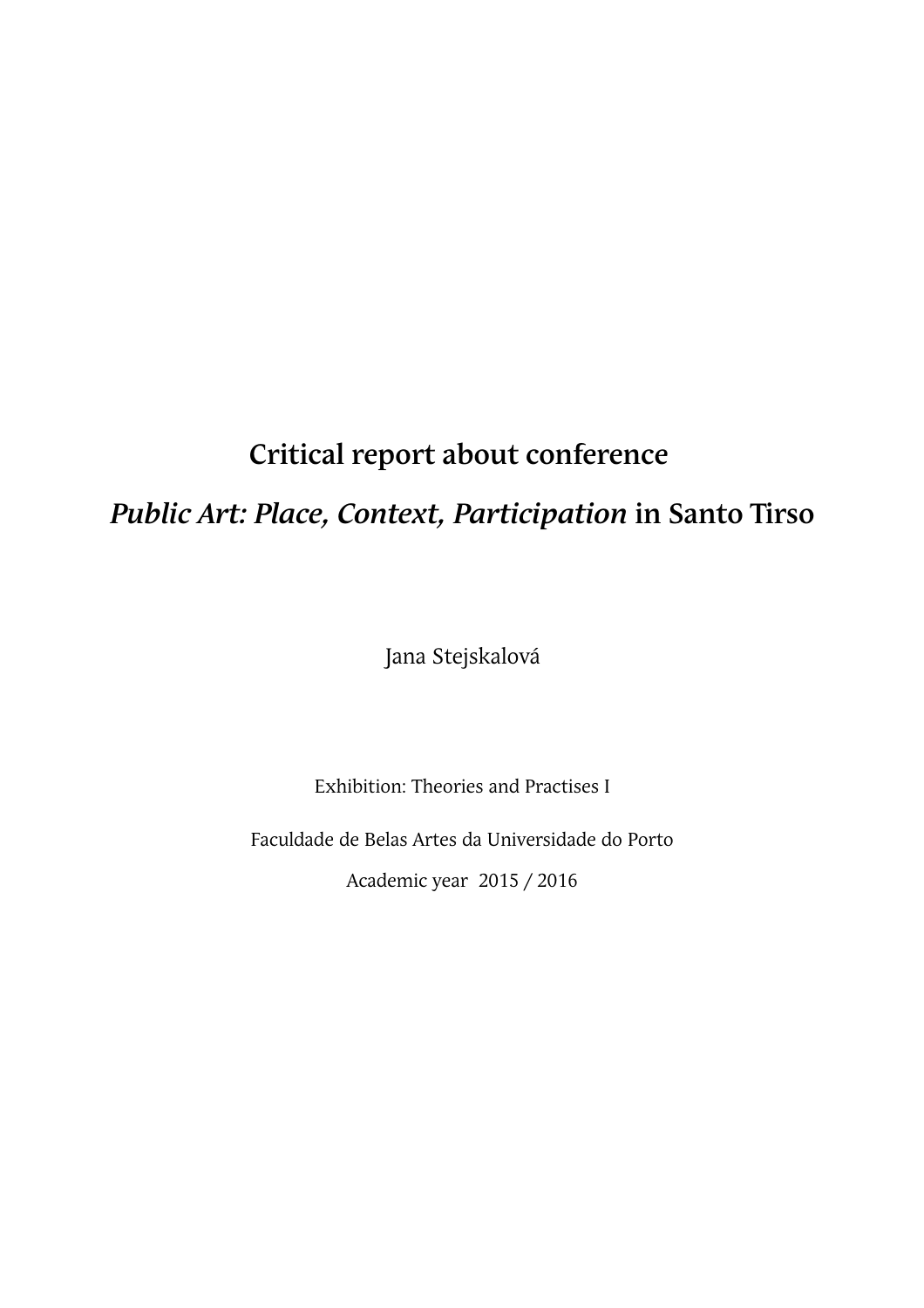# **Critical report about conference**

# *Public Art: Place, Context, Participation* **in Santo Tirso**

Jana Stejskalová

Exhibition: Theories and Practises I

Faculdade de Belas Artes da Universidade do Porto

Academic year 2015 / 2016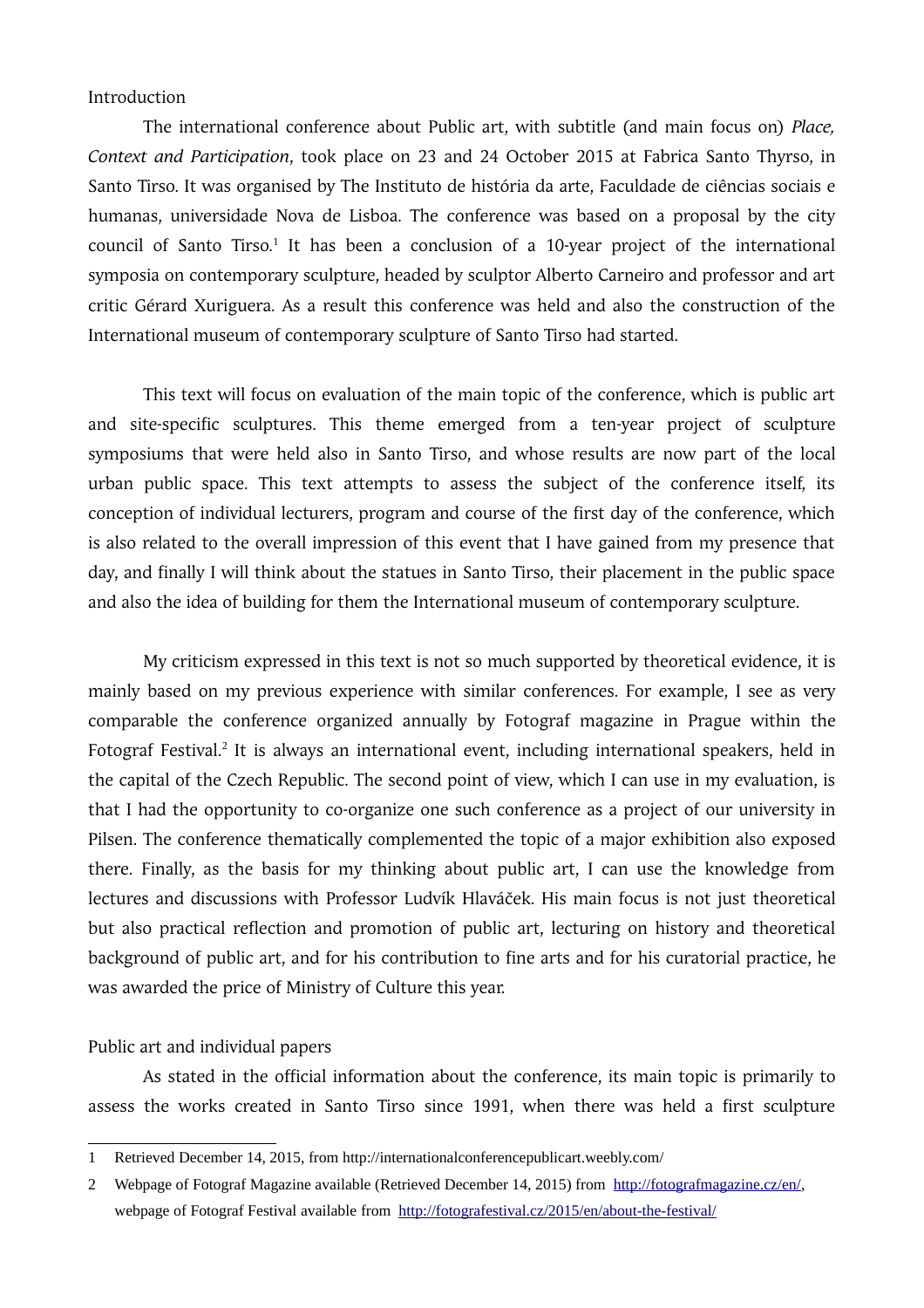Introduction

The international conference about Public art, with subtitle (and main focus on) *Place, Context and Participation*, took place on 23 and 24 October 2015 at Fabrica Santo Thyrso, in Santo Tirso. It was organised by The Instituto de história da arte, Faculdade de ciências sociais e humanas, universidade Nova de Lisboa. The conference was based on a proposal by the city council of Santo Tirso.<sup>[1](#page-1-0)</sup> It has been a conclusion of a 10-year project of the international symposia on contemporary sculpture, headed by sculptor Alberto Carneiro and professor and art critic Gérard Xuriguera. As a result this conference was held and also the construction of the International museum of contemporary sculpture of Santo Tirso had started.

This text will focus on evaluation of the main topic of the conference, which is public art and site-specific sculptures. This theme emerged from a ten-year project of sculpture symposiums that were held also in Santo Tirso, and whose results are now part of the local urban public space. This text attempts to assess the subject of the conference itself, its conception of individual lecturers, program and course of the first day of the conference, which is also related to the overall impression of this event that I have gained from my presence that day, and finally I will think about the statues in Santo Tirso, their placement in the public space and also the idea of building for them the International museum of contemporary sculpture.

My criticism expressed in this text is not so much supported by theoretical evidence, it is mainly based on my previous experience with similar conferences. For example, I see as very comparable the conference organized annually by Fotograf magazine in Prague within the Fotograf Festival.<sup>[2](#page-1-1)</sup> It is always an international event, including international speakers, held in the capital of the Czech Republic. The second point of view, which I can use in my evaluation, is that I had the opportunity to co-organize one such conference as a project of our university in Pilsen. The conference thematically complemented the topic of a major exhibition also exposed there. Finally, as the basis for my thinking about public art, I can use the knowledge from lectures and discussions with Professor Ludvík Hlaváček. His main focus is not just theoretical but also practical reflection and promotion of public art, lecturing on history and theoretical background of public art, and for his contribution to fine arts and for his curatorial practice, he was awarded the price of Ministry of Culture this year.

#### Public art and individual papers

As stated in the official information about the conference, its main topic is primarily to assess the works created in Santo Tirso since 1991, when there was held a first sculpture

<span id="page-1-0"></span><sup>1</sup> Retrieved December 14, 2015, from http://internationalconferencepublicart.weebly.com/

<span id="page-1-1"></span><sup>2</sup> Webpage of Fotograf Magazine available (Retrieved December 14, 2015) from [http://fotografmagazine.cz/en/,](http://fotografmagazine.cz/en/) webpage of Fotograf Festival available from <http://fotografestival.cz/2015/en/about-the-festival/>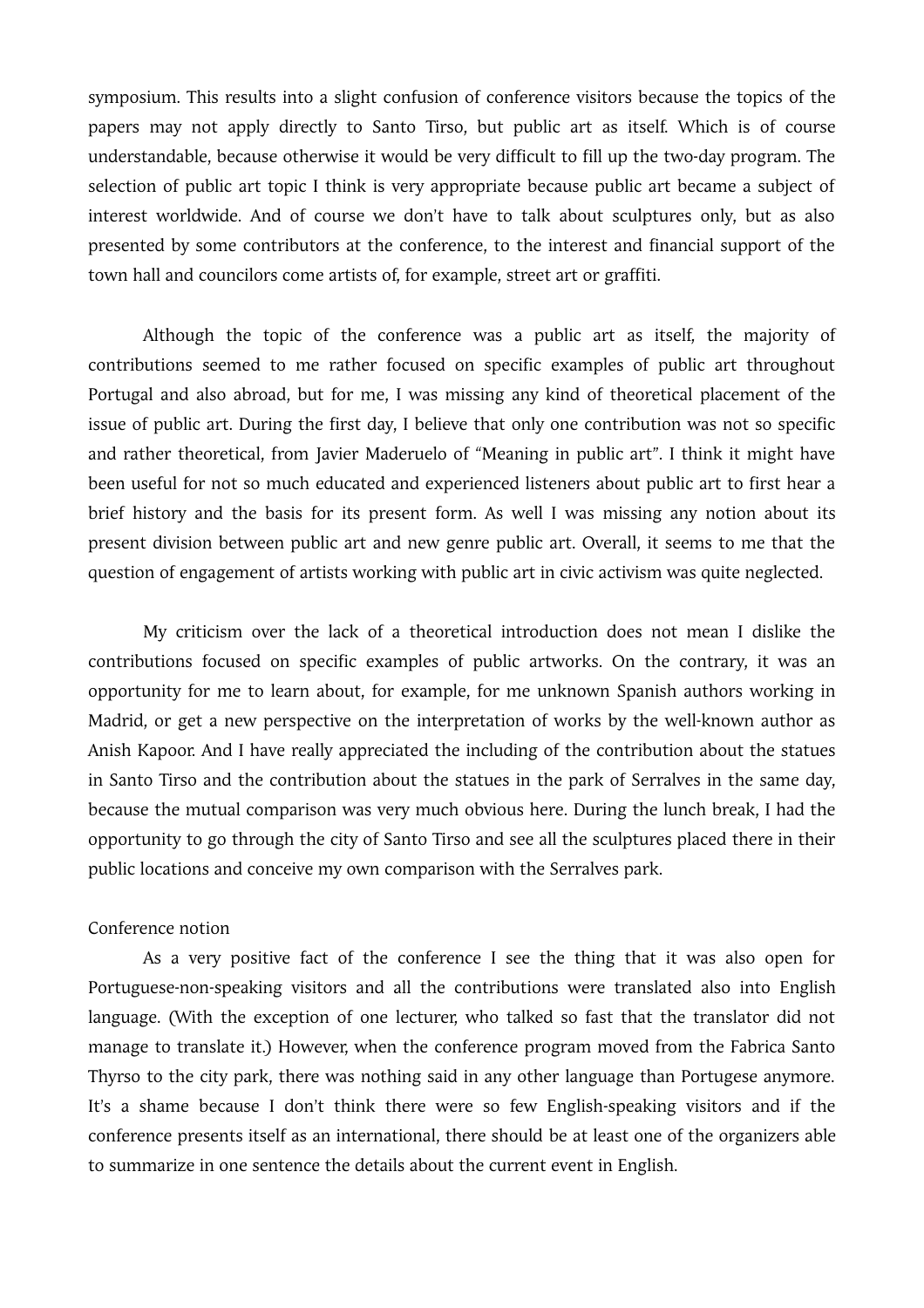symposium. This results into a slight confusion of conference visitors because the topics of the papers may not apply directly to Santo Tirso, but public art as itself. Which is of course understandable, because otherwise it would be very difficult to fill up the two-day program. The selection of public art topic I think is very appropriate because public art became a subject of interest worldwide. And of course we don't have to talk about sculptures only, but as also presented by some contributors at the conference, to the interest and financial support of the town hall and councilors come artists of, for example, street art or graffiti.

Although the topic of the conference was a public art as itself, the majority of contributions seemed to me rather focused on specific examples of public art throughout Portugal and also abroad, but for me, I was missing any kind of theoretical placement of the issue of public art. During the first day, I believe that only one contribution was not so specific and rather theoretical, from Javier Maderuelo of "Meaning in public art". I think it might have been useful for not so much educated and experienced listeners about public art to first hear a brief history and the basis for its present form. As well I was missing any notion about its present division between public art and new genre public art. Overall, it seems to me that the question of engagement of artists working with public art in civic activism was quite neglected.

My criticism over the lack of a theoretical introduction does not mean I dislike the contributions focused on specific examples of public artworks. On the contrary, it was an opportunity for me to learn about, for example, for me unknown Spanish authors working in Madrid, or get a new perspective on the interpretation of works by the well-known author as Anish Kapoor. And I have really appreciated the including of the contribution about the statues in Santo Tirso and the contribution about the statues in the park of Serralves in the same day, because the mutual comparison was very much obvious here. During the lunch break, I had the opportunity to go through the city of Santo Tirso and see all the sculptures placed there in their public locations and conceive my own comparison with the Serralves park.

### Conference notion

As a very positive fact of the conference I see the thing that it was also open for Portuguese-non-speaking visitors and all the contributions were translated also into English language. (With the exception of one lecturer, who talked so fast that the translator did not manage to translate it.) However, when the conference program moved from the Fabrica Santo Thyrso to the city park, there was nothing said in any other language than Portugese anymore. It's a shame because I don't think there were so few English-speaking visitors and if the conference presents itself as an international, there should be at least one of the organizers able to summarize in one sentence the details about the current event in English.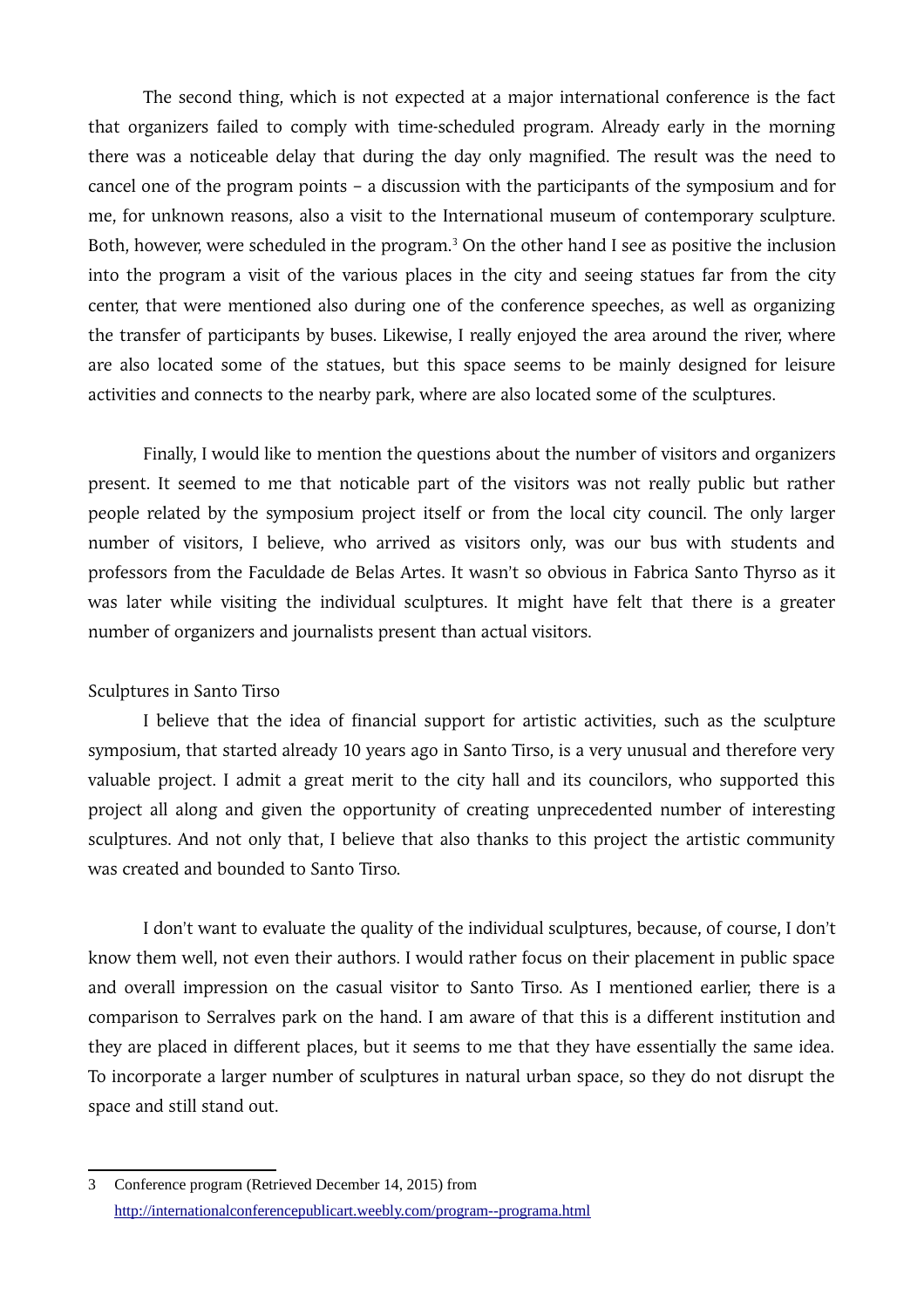The second thing, which is not expected at a major international conference is the fact that organizers failed to comply with time-scheduled program. Already early in the morning there was a noticeable delay that during the day only magnified. The result was the need to cancel one of the program points – a discussion with the participants of the symposium and for me, for unknown reasons, also a visit to the International museum of contemporary sculpture. Both, however, were scheduled in the program.<sup>[3](#page-3-0)</sup> On the other hand I see as positive the inclusion into the program a visit of the various places in the city and seeing statues far from the city center, that were mentioned also during one of the conference speeches, as well as organizing the transfer of participants by buses. Likewise, I really enjoyed the area around the river, where are also located some of the statues, but this space seems to be mainly designed for leisure activities and connects to the nearby park, where are also located some of the sculptures.

Finally, I would like to mention the questions about the number of visitors and organizers present. It seemed to me that noticable part of the visitors was not really public but rather people related by the symposium project itself or from the local city council. The only larger number of visitors, I believe, who arrived as visitors only, was our bus with students and professors from the Faculdade de Belas Artes. It wasn't so obvious in Fabrica Santo Thyrso as it was later while visiting the individual sculptures. It might have felt that there is a greater number of organizers and journalists present than actual visitors.

#### Sculptures in Santo Tirso

I believe that the idea of financial support for artistic activities, such as the sculpture symposium, that started already 10 years ago in Santo Tirso, is a very unusual and therefore very valuable project. I admit a great merit to the city hall and its councilors, who supported this project all along and given the opportunity of creating unprecedented number of interesting sculptures. And not only that, I believe that also thanks to this project the artistic community was created and bounded to Santo Tirso.

I don't want to evaluate the quality of the individual sculptures, because, of course, I don't know them well, not even their authors. I would rather focus on their placement in public space and overall impression on the casual visitor to Santo Tirso. As I mentioned earlier, there is a comparison to Serralves park on the hand. I am aware of that this is a different institution and they are placed in different places, but it seems to me that they have essentially the same idea. To incorporate a larger number of sculptures in natural urban space, so they do not disrupt the space and still stand out.

<span id="page-3-0"></span><sup>3</sup> Conference program (Retrieved December 14, 2015) from http://internationalconferencepublicart.weebly.com/program--programa.html